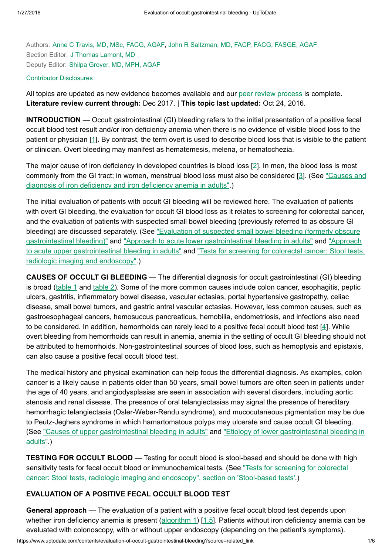Authors: Anne C Travis, MD, MSc, [FACG,](https://www.uptodate.com/contents/evaluation-of-occult-gastrointestinal-bleeding/contributors) AGAF, John R [Saltzman,](https://www.uptodate.com/contents/evaluation-of-occult-gastrointestinal-bleeding/contributors) MD, FACP, FACG, FASGE, AGAF Section Editor: J Thomas [Lamont,](https://www.uptodate.com/contents/evaluation-of-occult-gastrointestinal-bleeding/contributors) MD Deputy Editor: Shilpa [Grover,](https://www.uptodate.com/contents/evaluation-of-occult-gastrointestinal-bleeding/contributors) MD, MPH, AGAF

#### Contributor [Disclosures](https://www.uptodate.com/contents/evaluation-of-occult-gastrointestinal-bleeding/contributor-disclosure)

All topics are updated as new evidence becomes available and our peer review [process](https://www.uptodate.com/home/editorial-policy) is complete. Literature review current through: Dec 2017. | This topic last updated: Oct 24, 2016.

INTRODUCTION — Occult gastrointestinal (GI) bleeding refers to the initial presentation of a positive fecal occult blood test result and/or iron deficiency anemia when there is no evidence of visible blood loss to the patient or physician [[1\]](https://www.uptodate.com/contents/evaluation-of-occult-gastrointestinal-bleeding/abstract/1). By contrast, the term overt is used to describe blood loss that is visible to the patient or clinician. Overt bleeding may manifest as hematemesis, melena, or hematochezia.

The major cause of iron deficiency in developed countries is blood loss [[2\]](https://www.uptodate.com/contents/evaluation-of-occult-gastrointestinal-bleeding/abstract/2). In men, the blood loss is most commonly from the GI tract; in women, [menstrual blood](https://www.uptodate.com/contents/causes-and-diagnosis-of-iron-deficiency-and-iron-deficiency-anemia-in-adults?source=see_link) loss must also be considered [[3\]](https://www.uptodate.com/contents/evaluation-of-occult-gastrointestinal-bleeding/abstract/3). (See "Causes and diagnosis of iron deficiency and iron deficiency anemia in adults".)

The initial evaluation of patients with occult GI bleeding will be reviewed here. The evaluation of patients with overt GI bleeding, the evaluation for occult GI blood loss as it relates to screening for colorectal cancer, and the evaluation of patients with suspected small bowel bleeding (previously referred to as obscure GI bleeding) are discussed separately. (See "Evaluation of suspected small bowel bleeding (formerly obscure [gastrointestinal bleeding\)"](https://www.uptodate.com/contents/evaluation-of-suspected-small-bowel-bleeding-formerly-obscure-gastrointestinal-bleeding?source=see_link) and "Approach to acute lower [gastrointestinal bleeding](https://www.uptodate.com/contents/approach-to-acute-lower-gastrointestinal-bleeding-in-adults?source=see_link) in adults" and "Approach to acute upper [gastrointestinal bleeding](https://www.uptodate.com/contents/tests-for-screening-for-colorectal-cancer-stool-tests-radiologic-imaging-and-endoscopy?source=see_link) in adults" and "Tests for screening for colorectal cancer: Stool tests, radiologic imaging and endoscopy".)

CAUSES OF OCCULT GI BLEEDING — The differential diagnosis for occult gastrointestinal (GI) bleeding is broad ([table](https://www.uptodate.com/contents/image?imageKey=GAST%2F69451&topicKey=GAST%2F2544&source=see_link) 1 and [table](https://www.uptodate.com/contents/image?imageKey=GAST%2F104990&topicKey=GAST%2F2544&source=see_link) 2). Some of the more common causes include colon cancer, esophagitis, peptic ulcers, gastritis, inflammatory bowel disease, vascular ectasias, portal hypertensive gastropathy, celiac disease, small bowel tumors, and gastric antral vascular ectasias. However, less common causes, such as gastroesophageal cancers, hemosuccus pancreaticus, hemobilia, endometriosis, and infections also need to be considered. In addition, hemorrhoids can rarely lead to a positive fecal occult blood test [\[4](https://www.uptodate.com/contents/evaluation-of-occult-gastrointestinal-bleeding/abstract/4)]. While overt bleeding from hemorrhoids can result in anemia, anemia in the setting of occult GI bleeding should not be attributed to hemorrhoids. Non-gastrointestinal sources of blood loss, such as hemoptysis and epistaxis, can also cause a positive fecal occult blood test.

The medical history and physical examination can help focus the differential diagnosis. As examples, colon cancer is a likely cause in patients older than 50 years, small bowel tumors are often seen in patients under the age of 40 years, and angiodysplasias are seen in association with several disorders, including aortic stenosis and renal disease. The presence of oral telangiectasias may signal the presence of hereditary hemorrhagic telangiectasia (Osler-Weber-Rendu syndrome), and mucocutaneous pigmentation may be due to Peutz-Jeghers syndrome in which hamartomatous polyps may ulcerate and cause occult GI bleeding. (See "Causes of upper [gastrointestinal bleeding](https://www.uptodate.com/contents/etiology-of-lower-gastrointestinal-bleeding-in-adults?source=see_link) in adults" and "Etiology of lower gastrointestinal bleeding in adults".)

**TESTING FOR OCCULT BLOOD** — Testing for occult blood is stool-based and should be done with high sensitivity tests for fecal occult blood or [immunochemical tests.](https://www.uptodate.com/contents/tests-for-screening-for-colorectal-cancer-stool-tests-radiologic-imaging-and-endoscopy?sectionName=STOOL-BASED+TESTS&anchor=H3&source=see_link#H3) (See "Tests for screening for colorectal cancer: Stool tests, radiologic imaging and endoscopy", section on 'Stool-based tests'.)

### EVALUATION OF A POSITIVE FECAL OCCULT BLOOD TEST

General approach — The evaluation of a patient with a positive fecal occult blood test depends upon whether iron deficiency anemia is present  $\frac{\text{algorithm 1}}{1.5}$ . Patients without iron deficiency anemia can be evaluated with colonoscopy, with or without upper endoscopy (depending on the patient's symptoms).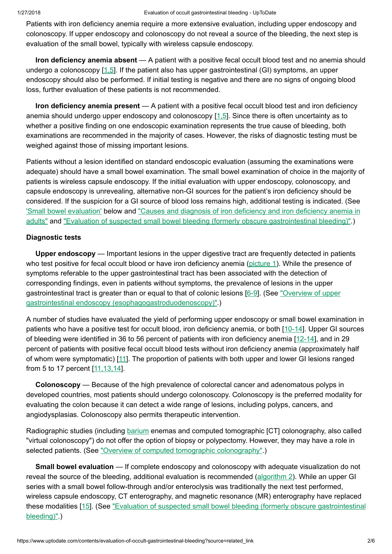Patients with iron deficiency anemia require a more extensive evaluation, including upper endoscopy and colonoscopy. If upper endoscopy and colonoscopy do not reveal a source of the bleeding, the next step is evaluation of the small bowel, typically with wireless capsule endoscopy.

Iron deficiency anemia absent — A patient with a positive fecal occult blood test and no anemia should undergo a colonoscopy [\[1,5](https://www.uptodate.com/contents/evaluation-of-occult-gastrointestinal-bleeding/abstract/1,5)]. If the patient also has upper gastrointestinal (GI) symptoms, an upper endoscopy should also be performed. If initial testing is negative and there are no signs of ongoing blood loss, further evaluation of these patients is not recommended.

Iron deficiency anemia present — A patient with a positive fecal occult blood test and iron deficiency anemia should undergo upper endoscopy and colonoscopy [\[1,5](https://www.uptodate.com/contents/evaluation-of-occult-gastrointestinal-bleeding/abstract/1,5)]. Since there is often uncertainty as to whether a positive finding on one endoscopic examination represents the true cause of bleeding, both examinations are recommended in the majority of cases. However, the risks of diagnostic testing must be weighed against those of missing important lesions.

Patients without a lesion identified on standard endoscopic evaluation (assuming the examinations were adequate) should have a small bowel examination. The small bowel examination of choice in the majority of patients is wireless capsule endoscopy. If the initial evaluation with upper endoscopy, colonoscopy, and capsule endoscopy is unrevealing, alternative non-GI sources for the patient's iron deficiency should be considered. If the suspicion for a GI source of blood loss remains high, additional testing is indicated. (See ['Small bowel evaluation'](https://www.uptodate.com/contents/evaluation-of-occult-gastrointestinal-bleeding?source=related_link#H10) below and "Causes and diagnosis of iron deficiency and iron deficiency anemia in adults" and "Evaluation of suspected small bowel bleeding (formerly obscure [gastrointestinal bleeding\)".\)](https://www.uptodate.com/contents/causes-and-diagnosis-of-iron-deficiency-and-iron-deficiency-anemia-in-adults?source=see_link)

## Diagnostic tests

Upper endoscopy — Important lesions in the upper digestive tract are frequently detected in patients who test positive for fecal occult blood or have iron deficiency anemia ([picture](https://www.uptodate.com/contents/image?imageKey=GAST%2F68358&topicKey=GAST%2F2544&source=see_link) 1). While the presence of symptoms referable to the upper gastrointestinal tract has been associated with the detection of corresponding findings, even in patients without symptoms, the prevalence of lesions in the upper gastrointestinal tract is greater than or equal to that of colonic lesions [[6-9\]](https://www.uptodate.com/contents/evaluation-of-occult-gastrointestinal-bleeding/abstract/6-9). (See "Overview of upper gastrointestinal endoscopy [\(esophagogastroduodenoscopy\)".\)](https://www.uptodate.com/contents/overview-of-upper-gastrointestinal-endoscopy-esophagogastroduodenoscopy?source=see_link)

A number of studies have evaluated the yield of performing upper endoscopy or small bowel examination in patients who have a positive test for occult blood, iron deficiency anemia, or both [\[10-14](https://www.uptodate.com/contents/evaluation-of-occult-gastrointestinal-bleeding/abstract/10-14)]. Upper GI sources of bleeding were identified in 36 to 56 percent of patients with iron deficiency anemia [\[12-14](https://www.uptodate.com/contents/evaluation-of-occult-gastrointestinal-bleeding/abstract/12-14)], and in 29 percent of patients with positive fecal occult blood tests without iron deficiency anemia (approximately half of whom were symptomatic) [[11\]](https://www.uptodate.com/contents/evaluation-of-occult-gastrointestinal-bleeding/abstract/11). The proportion of patients with both upper and lower GI lesions ranged from 5 to 17 percent [\[11,13,14\]](https://www.uptodate.com/contents/evaluation-of-occult-gastrointestinal-bleeding/abstract/11,13,14).

Colonoscopy — Because of the high prevalence of colorectal cancer and adenomatous polyps in developed countries, most patients should undergo colonoscopy. Colonoscopy is the preferred modality for evaluating the colon because it can detect a wide range of lesions, including polyps, cancers, and angiodysplasias. Colonoscopy also permits therapeutic intervention.

Radiographic studies (including [barium](https://www.uptodate.com/contents/barium-drug-information?source=see_link) enemas and computed tomographic [CT] colonography, also called "virtual colonoscopy") do not offer the option of biopsy or polypectomy. However, they may have a role in selected patients. (See "Overview of computed tomographic [colonography"](https://www.uptodate.com/contents/overview-of-computed-tomographic-colonography?source=see_link).)

Small bowel evaluation — If complete endoscopy and colonoscopy with adequate visualization do not reveal the source of the bleeding, additional evaluation is recommended ([algorithm](https://www.uptodate.com/contents/image?imageKey=GAST%2F95608&topicKey=GAST%2F2544&source=see_link) 2). While an upper GI series with a small bowel follow-through and/or enteroclysis was traditionally the next test performed, wireless capsule endoscopy, CT enterography, and magnetic resonance (MR) enterography have replaced these modalities [[15\]](https://www.uptodate.com/contents/evaluation-of-occult-gastrointestinal-bleeding/abstract/15). (See "Evaluation of suspected [small bowel bleeding](https://www.uptodate.com/contents/evaluation-of-suspected-small-bowel-bleeding-formerly-obscure-gastrointestinal-bleeding?source=see_link) (formerly obscure gastrointestinal bleeding)".)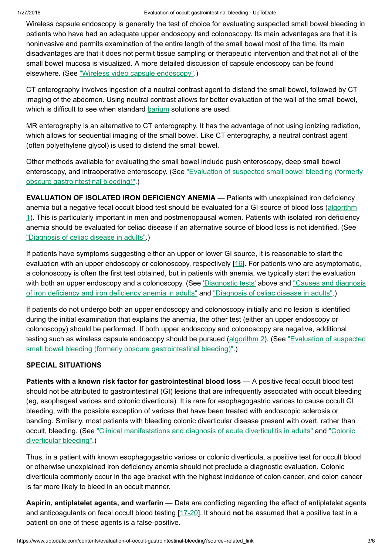Wireless capsule endoscopy is generally the test of choice for evaluating suspected small bowel bleeding in patients who have had an adequate upper endoscopy and colonoscopy. Its main advantages are that it is noninvasive and permits examination of the entire length of the small bowel most of the time. Its main disadvantages are that it does not permit tissue sampling or therapeutic intervention and that not all of the small bowel mucosa is visualized. A more detailed discussion of capsule endoscopy can be found elsewhere. (See "Wireless video capsule [endoscopy".](https://www.uptodate.com/contents/wireless-video-capsule-endoscopy?source=see_link))

CT enterography involves ingestion of a neutral contrast agent to distend the small bowel, followed by CT imaging of the abdomen. Using neutral contrast allows for better evaluation of the wall of the small bowel, which is difficult to see when standard [barium](https://www.uptodate.com/contents/barium-drug-information?source=see_link) solutions are used.

MR enterography is an alternative to CT enterography. It has the advantage of not using ionizing radiation, which allows for sequential imaging of the small bowel. Like CT enterography, a neutral contrast agent (often polyethylene glycol) is used to distend the small bowel.

Other methods available for evaluating the small bowel include push enteroscopy, deep small bowel enteroscopy, and intraoperative enteroscopy. (See "Evaluation of suspected small bowel bleeding (formerly obscure [gastrointestinal bleeding\)".\)](https://www.uptodate.com/contents/evaluation-of-suspected-small-bowel-bleeding-formerly-obscure-gastrointestinal-bleeding?source=see_link)

EVALUATION OF ISOLATED IRON DEFICIENCY ANEMIA — Patients with unexplained iron deficiency anemia but a negative fecal occult blood test should be evaluated for a GI source of blood loss (algorithm 1). This is particularly important in men and [postmenopausal women.](https://www.uptodate.com/contents/image?imageKey=GAST%2F94181&topicKey=GAST%2F2544&source=see_link) Patients with isolated iron deficiency anemia should be evaluated for celiac disease if an alternative source of blood loss is not identified. (See ["Diagnosis](https://www.uptodate.com/contents/diagnosis-of-celiac-disease-in-adults?source=see_link) of celiac disease in adults".)

If patients have symptoms suggesting either an upper or lower GI source, it is reasonable to start the evaluation with an upper endoscopy or colonoscopy, respectively [\[16](https://www.uptodate.com/contents/evaluation-of-occult-gastrointestinal-bleeding/abstract/16)]. For patients who are asymptomatic, a colonoscopy is often the first test obtained, but in patients with anemia, we typically start the evaluation with both an upper endoscopy and a [colonoscopy.](https://www.uptodate.com/contents/causes-and-diagnosis-of-iron-deficiency-and-iron-deficiency-anemia-in-adults?source=see_link) (See ['Diagnostic](https://www.uptodate.com/contents/evaluation-of-occult-gastrointestinal-bleeding?source=related_link#H992963) tests' above and "Causes and diagnosis of iron deficiency and iron deficiency anemia in adults" and ["Diagnosis](https://www.uptodate.com/contents/diagnosis-of-celiac-disease-in-adults?source=see_link) of celiac disease in adults".)

If patients do not undergo both an upper endoscopy and colonoscopy initially and no lesion is identified during the initial examination that explains the anemia, the other test (either an upper endoscopy or colonoscopy) should be performed. If both upper endoscopy and colonoscopy are negative, additional testing such as wireless capsule endoscopy should be pursued ([algorithm](https://www.uptodate.com/contents/image?imageKey=GAST%2F95608&topicKey=GAST%2F2544&source=see_link) 2). (See "Evaluation of suspected small bowel bleeding (formerly obscure [gastrointestinal bleeding\)".\)](https://www.uptodate.com/contents/evaluation-of-suspected-small-bowel-bleeding-formerly-obscure-gastrointestinal-bleeding?source=see_link)

# SPECIAL SITUATIONS

Patients with a known risk factor for gastrointestinal blood loss — A positive fecal occult blood test should not be attributed to gastrointestinal (GI) lesions that are infrequently associated with occult bleeding (eg, esophageal varices and colonic diverticula). It is rare for esophagogastric varices to cause occult GI bleeding, with the possible exception of varices that have been treated with endoscopic sclerosis or banding. Similarly, most patients with bleeding colonic diverticular disease present with overt, rather than occult, bleeding. (See ["](https://www.uptodate.com/contents/colonic-diverticular-bleeding?source=see_link)[Clinical manifestations](https://www.uptodate.com/contents/clinical-manifestations-and-diagnosis-of-acute-diverticulitis-in-adults?source=see_link) and diagnosis of acute diverticulitis in adults" and "Colonic diverticular bleeding".)

Thus, in a patient with known esophagogastric varices or colonic diverticula, a positive test for occult blood or otherwise unexplained iron deficiency anemia should not preclude a diagnostic evaluation. Colonic diverticula commonly occur in the age bracket with the highest incidence of colon cancer, and colon cancer is far more likely to bleed in an occult manner.

Aspirin, antiplatelet agents, and warfarin — Data are conflicting regarding the effect of antiplatelet agents and anticoagulants on fecal occult blood testing [[17-20\]](https://www.uptodate.com/contents/evaluation-of-occult-gastrointestinal-bleeding/abstract/17-20). It should not be assumed that a positive test in a patient on one of these agents is a false-positive.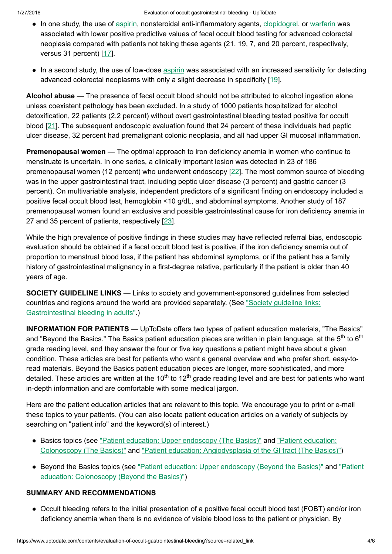- In one study, the use of [aspirin,](https://www.uptodate.com/contents/aspirin-drug-information?source=see_link) nonsteroidal anti-inflammatory agents, [clopidogrel](https://www.uptodate.com/contents/clopidogrel-drug-information?source=see_link), or [warfarin](https://www.uptodate.com/contents/warfarin-drug-information?source=see_link) was associated with lower positive predictive values of fecal occult blood testing for advanced colorectal neoplasia compared with patients not taking these agents (21, 19, 7, and 20 percent, respectively, versus 31 percent) [[17\]](https://www.uptodate.com/contents/evaluation-of-occult-gastrointestinal-bleeding/abstract/17).
- In a second study, the use of low-dose [aspirin](https://www.uptodate.com/contents/aspirin-drug-information?source=see_link) was associated with an increased sensitivity for detecting advanced colorectal neoplasms with only a slight decrease in specificity [\[19](https://www.uptodate.com/contents/evaluation-of-occult-gastrointestinal-bleeding/abstract/19)].

Alcohol abuse — The presence of fecal occult blood should not be attributed to alcohol ingestion alone unless coexistent pathology has been excluded. In a study of 1000 patients hospitalized for alcohol detoxification, 22 patients (2.2 percent) without overt gastrointestinal bleeding tested positive for occult blood [[21\]](https://www.uptodate.com/contents/evaluation-of-occult-gastrointestinal-bleeding/abstract/21). The subsequent endoscopic evaluation found that 24 percent of these individuals had peptic ulcer disease, 32 percent had premalignant colonic neoplasia, and all had upper GI mucosal inflammation.

**Premenopausal women** — The optimal approach to iron deficiency anemia in women who continue to menstruate is uncertain. In one series, a clinically important lesion was detected in 23 of 186 premenopausal women (12 percent) who underwent endoscopy [[22\]](https://www.uptodate.com/contents/evaluation-of-occult-gastrointestinal-bleeding/abstract/22). The most common source of bleeding was in the upper gastrointestinal tract, including peptic ulcer disease (3 percent) and gastric cancer (3 percent). On multivariable analysis, independent predictors of a significant finding on endoscopy included a positive fecal occult blood test, hemoglobin <10 g/dL, and abdominal symptoms. Another study of 187 premenopausal women found an exclusive and possible gastrointestinal cause for iron deficiency anemia in 27 and 35 percent of patients, respectively [[23\]](https://www.uptodate.com/contents/evaluation-of-occult-gastrointestinal-bleeding/abstract/23).

While the high prevalence of positive findings in these studies may have reflected referral bias, endoscopic evaluation should be obtained if a fecal occult blood test is positive, if the iron deficiency anemia out of proportion to menstrual blood loss, if the patient has abdominal symptoms, or if the patient has a family history of gastrointestinal malignancy in a first-degree relative, particularly if the patient is older than 40 years of age.

SOCIETY GUIDELINE LINKS — Links to society and government-sponsored guidelines from selected countries and regions around the world are provided separately. (See "Society guideline links: [Gastrointestinal bleeding](https://www.uptodate.com/contents/society-guideline-links-gastrointestinal-bleeding-in-adults?source=see_link) in adults".)

INFORMATION FOR PATIENTS — UpToDate offers two types of patient education materials, "The Basics" and "Beyond the Basics." The Basics patient education pieces are written in plain language, at the 5<sup>th</sup> to 6<sup>th</sup> grade reading level, and they answer the four or five key questions a patient might have about a given condition. These articles are best for patients who want a general overview and who prefer short, easy-toread materials. Beyond the Basics patient education pieces are longer, more sophisticated, and more detailed. These articles are written at the 10<sup>th</sup> to 12<sup>th</sup> grade reading level and are best for patients who want in-depth information and are comfortable with some medical jargon.

Here are the patient education articles that are relevant to this topic. We encourage you to print or e-mail these topics to your patients. (You can also locate patient education articles on a variety of subjects by searching on "patient info" and the keyword(s) of interest.)

- Basics topics (see "Patient education: Upper [endoscopy](https://www.uptodate.com/contents/upper-endoscopy-the-basics?source=see_link) (The Basics)" and "Patient education: Colonoscopy (The Basics)" and "Patient education: [Angiodysplasia](https://www.uptodate.com/contents/colonoscopy-the-basics?source=see_link) of the GI tract (The Basics)")
- Beyond the Basics topics (see "Patient education: Upper [endoscopy](https://www.uptodate.com/contents/upper-endoscopy-beyond-the-basics?source=see_link) (Beyond the Basics)" and "Patient education: [Colonoscopy](https://www.uptodate.com/contents/colonoscopy-beyond-the-basics?source=see_link) (Beyond the Basics)")

# SUMMARY AND RECOMMENDATIONS

● Occult bleeding refers to the initial presentation of a positive fecal occult blood test (FOBT) and/or iron deficiency anemia when there is no evidence of visible blood loss to the patient or physician. By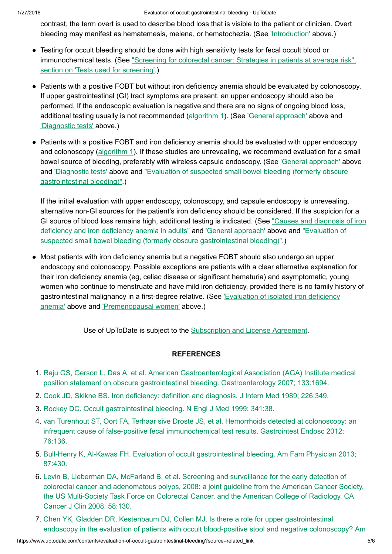contrast, the term overt is used to describe blood loss that is visible to the patient or clinician. Overt bleeding may manifest as hematemesis, melena, or hematochezia. (See ['Introduction'](https://www.uptodate.com/contents/evaluation-of-occult-gastrointestinal-bleeding?source=related_link#H1) above.)

- Testing for occult bleeding should be done with high sensitivity tests for fecal occult blood or [immunochemical tests.](https://www.uptodate.com/contents/screening-for-colorectal-cancer-strategies-in-patients-at-average-risk?sectionName=TESTS+USED+FOR+SCREENING&anchor=H9&source=see_link#H9) (See "Screening for colorectal cancer: Strategies in patients at average risk", section on 'Tests used for screening'.)
- Patients with a positive FOBT but without iron deficiency anemia should be evaluated by colonoscopy. If upper gastrointestinal (GI) tract symptoms are present, an upper endoscopy should also be performed. If the endoscopic evaluation is negative and there are no signs of ongoing blood loss, additional testing usually is not recommended [\(algorithm](https://www.uptodate.com/contents/image?imageKey=GAST%2F94181&topicKey=GAST%2F2544&source=see_link) 1). (See ['General approach'](https://www.uptodate.com/contents/evaluation-of-occult-gastrointestinal-bleeding?source=related_link#H992491) above and ['Diagnostic](https://www.uptodate.com/contents/evaluation-of-occult-gastrointestinal-bleeding?source=related_link#H992963) tests' above.)
- Patients with a positive FOBT and iron deficiency anemia should be evaluated with upper endoscopy and colonoscopy [\(algorithm](https://www.uptodate.com/contents/image?imageKey=GAST%2F94181&topicKey=GAST%2F2544&source=see_link) 1). If these studies are unrevealing, we recommend evaluation for a small bowel source of bleeding, preferably with wireless capsule endoscopy. (See ['General approach'](https://www.uptodate.com/contents/evaluation-of-occult-gastrointestinal-bleeding?source=related_link#H992491) above and ['Diagnostic](https://www.uptodate.com/contents/evaluation-of-occult-gastrointestinal-bleeding?source=related_link#H992963) tests' above and "Evaluation of suspected small bowel bleeding (formerly obscure [gastrointestinal bleeding\)".\)](https://www.uptodate.com/contents/evaluation-of-suspected-small-bowel-bleeding-formerly-obscure-gastrointestinal-bleeding?source=see_link)

If the initial evaluation with upper endoscopy, colonoscopy, and capsule endoscopy is unrevealing, alternative non-GI sources for the patient's iron deficiency should be considered. If the suspicion for a GI source of blood loss remains high, additional testing is indicated. (See "Causes and diagnosis of iron deficiency and iron deficiency anemia in adults" and ['General approach'](https://www.uptodate.com/contents/causes-and-diagnosis-of-iron-deficiency-and-iron-deficiency-anemia-in-adults?source=see_link) above and "Evaluation of suspected small bowel bleeding (formerly obscure [gastrointestinal bleeding\)".\)](https://www.uptodate.com/contents/evaluation-of-suspected-small-bowel-bleeding-formerly-obscure-gastrointestinal-bleeding?source=see_link)

● Most patients with iron deficiency anemia but a negative FOBT should also undergo an upper endoscopy and colonoscopy. Possible exceptions are patients with a clear alternative explanation for their iron deficiency anemia (eg, celiac disease or significant hematuria) and asymptomatic, young women who continue to menstruate and have mild iron deficiency, provided there is no family history of [gastrointestinal malignancy](https://www.uptodate.com/contents/evaluation-of-occult-gastrointestinal-bleeding?source=related_link#H53808641) in a first-degree relative. (See *Evaluation of isolated iron deficiency* anemia' above and ['Premenopausal women'](https://www.uptodate.com/contents/evaluation-of-occult-gastrointestinal-bleeding?source=related_link#H14) above.)

Use of UpToDate is subject to the [Subscription](https://www.uptodate.com/legal/license) and License Agreement.

### **REFERENCES**

- 1. Raju GS, Gerson L, Das A, et al. American [Gastroenterological Association](https://www.uptodate.com/contents/evaluation-of-occult-gastrointestinal-bleeding/abstract/1) (AGA) Institute medical position statement on obscure gastrointestinal bleeding. Gastroenterology 2007; 133:1694.
- 2. Cook JD, Skikne BS. Iron [deficiency:](https://www.uptodate.com/contents/evaluation-of-occult-gastrointestinal-bleeding/abstract/2) definition and diagnosis. J Intern Med 1989; 226:349.
- 3. Rockey DC. Occult [gastrointestinal bleeding.](https://www.uptodate.com/contents/evaluation-of-occult-gastrointestinal-bleeding/abstract/3) N Engl J Med 1999; 341:38.
- 4. van Turenhout ST, Oort FA, Terhaar sive Droste JS, et al. Hemorrhoids detected at colonoscopy: an infrequent cause of false-positive [fecal immunochemical test](https://www.uptodate.com/contents/evaluation-of-occult-gastrointestinal-bleeding/abstract/4) results. Gastrointest Endosc 2012; 76:136.
- 5. Bull-Henry K, Al-Kawas FH. Evaluation of occult [gastrointestinal bleeding.](https://www.uptodate.com/contents/evaluation-of-occult-gastrointestinal-bleeding/abstract/5) Am Fam Physician 2013; 87:430.
- 6. Levin B, Lieberman DA, McFarland B, et al. Screening and surveillance for the early detection of colorectal cancer and adenomatous polyps, 2008: a joint guideline from the American Cancer Society, the US Multi-Society Task Force on [Colorectal Cancer,](https://www.uptodate.com/contents/evaluation-of-occult-gastrointestinal-bleeding/abstract/6) and the American College of Radiology. CA Cancer J Clin 2008; 58:130.
- 7. Chen YK, Gladden DR, Kestenbaum DJ, Collen MJ. Is there a role for upper [gastrointestinal](https://www.uptodate.com/contents/evaluation-of-occult-gastrointestinal-bleeding/abstract/7) endoscopy in the evaluation of patients with occult blood-positive stool and negative colonoscopy? Am